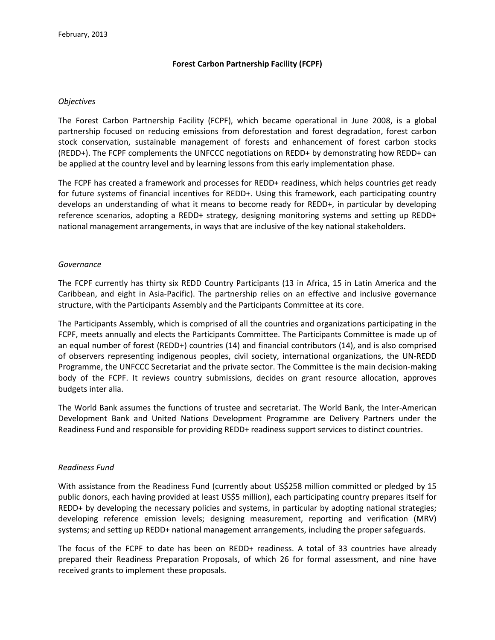## **Forest Carbon Partnership Facility (FCPF)**

#### *Objectives*

The Forest Carbon Partnership Facility (FCPF), which became operational in June 2008, is a global partnership focused on reducing emissions from deforestation and forest degradation, forest carbon stock conservation, sustainable management of forests and enhancement of forest carbon stocks (REDD+). The FCPF complements the UNFCCC negotiations on REDD+ by demonstrating how REDD+ can be applied at the country level and by learning lessons from this early implementation phase.

The FCPF has created a framework and processes for REDD+ readiness, which helps countries get ready for future systems of financial incentives for REDD+. Using this framework, each participating country develops an understanding of what it means to become ready for REDD+, in particular by developing reference scenarios, adopting a REDD+ strategy, designing monitoring systems and setting up REDD+ national management arrangements, in ways that are inclusive of the key national stakeholders.

#### *Governance*

The FCPF currently has thirty six REDD Country Participants (13 in Africa, 15 in Latin America and the Caribbean, and eight in Asia-Pacific). The partnership relies on an effective and inclusive governance structure, with the Participants Assembly and the Participants Committee at its core.

The Participants Assembly, which is comprised of all the countries and organizations participating in the FCPF, meets annually and elects the Participants Committee. The Participants Committee is made up of an equal number of forest (REDD+) countries (14) and financial contributors (14), and is also comprised of observers representing indigenous peoples, civil society, international organizations, the UN-REDD Programme, the UNFCCC Secretariat and the private sector. The Committee is the main decision-making body of the FCPF. It reviews country submissions, decides on grant resource allocation, approves budgets inter alia.

The World Bank assumes the functions of trustee and secretariat. The World Bank, the Inter-American Development Bank and United Nations Development Programme are Delivery Partners under the Readiness Fund and responsible for providing REDD+ readiness support services to distinct countries.

# *Readiness Fund*

With assistance from the Readiness Fund (currently about US\$258 million committed or pledged by 15 public donors, each having provided at least US\$5 million), each participating country prepares itself for REDD+ by developing the necessary policies and systems, in particular by adopting national strategies; developing reference emission levels; designing measurement, reporting and verification (MRV) systems; and setting up REDD+ national management arrangements, including the proper safeguards.

The focus of the FCPF to date has been on REDD+ readiness. A total of 33 countries have already prepared their Readiness Preparation Proposals, of which 26 for formal assessment, and nine have received grants to implement these proposals.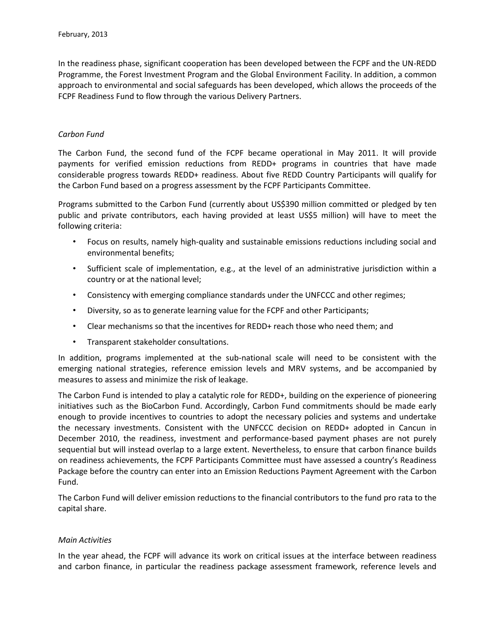In the readiness phase, significant cooperation has been developed between the FCPF and the UN-REDD Programme, the Forest Investment Program and the Global Environment Facility. In addition, a common approach to environmental and social safeguards has been developed, which allows the proceeds of the FCPF Readiness Fund to flow through the various Delivery Partners.

## *Carbon Fund*

The Carbon Fund, the second fund of the FCPF became operational in May 2011. It will provide payments for verified emission reductions from REDD+ programs in countries that have made considerable progress towards REDD+ readiness. About five REDD Country Participants will qualify for the Carbon Fund based on a progress assessment by the FCPF Participants Committee.

Programs submitted to the Carbon Fund (currently about US\$390 million committed or pledged by ten public and private contributors, each having provided at least US\$5 million) will have to meet the following criteria:

- Focus on results, namely high-quality and sustainable emissions reductions including social and environmental benefits;
- Sufficient scale of implementation, e.g., at the level of an administrative jurisdiction within a country or at the national level;
- Consistency with emerging compliance standards under the UNFCCC and other regimes;
- Diversity, so as to generate learning value for the FCPF and other Participants;
- Clear mechanisms so that the incentives for REDD+ reach those who need them; and
- Transparent stakeholder consultations.

In addition, programs implemented at the sub-national scale will need to be consistent with the emerging national strategies, reference emission levels and MRV systems, and be accompanied by measures to assess and minimize the risk of leakage.

The Carbon Fund is intended to play a catalytic role for REDD+, building on the experience of pioneering initiatives such as the BioCarbon Fund. Accordingly, Carbon Fund commitments should be made early enough to provide incentives to countries to adopt the necessary policies and systems and undertake the necessary investments. Consistent with the UNFCCC decision on REDD+ adopted in Cancun in December 2010, the readiness, investment and performance-based payment phases are not purely sequential but will instead overlap to a large extent. Nevertheless, to ensure that carbon finance builds on readiness achievements, the FCPF Participants Committee must have assessed a country's Readiness Package before the country can enter into an Emission Reductions Payment Agreement with the Carbon Fund.

The Carbon Fund will deliver emission reductions to the financial contributors to the fund pro rata to the capital share.

# *Main Activities*

In the year ahead, the FCPF will advance its work on critical issues at the interface between readiness and carbon finance, in particular the readiness package assessment framework, reference levels and